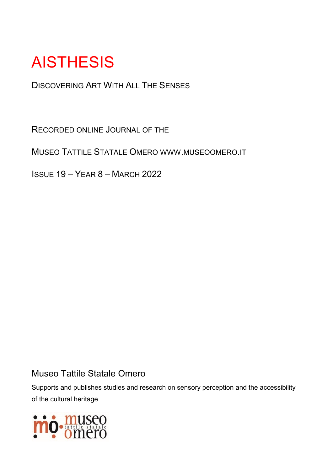## **AISTHESIS**

DISCOVERING ART WITH ALL THE SENSES

RECORDED ONLINE JOURNAL OF THE

MUSEO TATTILE STATALE OMERO WWW.MUSEOOMERO.IT

ISSUE 19 – YEAR 8 – MARCH 2022

#### Museo Tattile Statale Omero

Supports and publishes studies and research on sensory perception and the accessibility of the cultural heritage

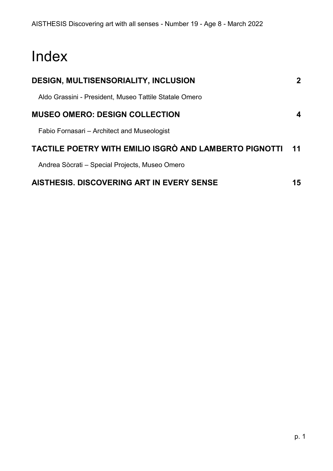### Index

| <b>DESIGN, MULTISENSORIALITY, INCLUSION</b>            | $\mathbf{2}$ |
|--------------------------------------------------------|--------------|
| Aldo Grassini - President, Museo Tattile Statale Omero |              |
| <b>MUSEO OMERO: DESIGN COLLECTION</b>                  | 4            |
| Fabio Fornasari – Architect and Museologist            |              |
| TACTILE POETRY WITH EMILIO ISGRÒ AND LAMBERTO PIGNOTTI | 11           |
| Andrea Sòcrati – Special Projects, Museo Omero         |              |
| AISTHESIS. DISCOVERING ART IN EVERY SENSE              | 15           |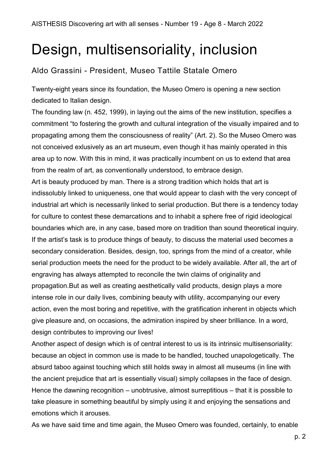### <span id="page-2-0"></span>Design, multisensoriality, inclusion

#### <span id="page-2-1"></span>Aldo Grassini - President, Museo Tattile Statale Omero

Twenty-eight years since its foundation, the Museo Omero is opening a new section dedicated to Italian design.

The founding law (n. 452, 1999), in laying out the aims of the new institution, specifies a commitment "to fostering the growth and cultural integration of the visually impaired and to propagating among them the consciousness of reality" (Art. 2). So the Museo Omero was not conceived exlusively as an art museum, even though it has mainly operated in this area up to now. With this in mind, it was practically incumbent on us to extend that area from the realm of art, as conventionally understood, to embrace design.

Art is beauty produced by man. There is a strong tradition which holds that art is indissolubly linked to uniqueness, one that would appear to clash with the very concept of industrial art which is necessarily linked to serial production. But there is a tendency today for culture to contest these demarcations and to inhabit a sphere free of rigid ideological boundaries which are, in any case, based more on tradition than sound theoretical inquiry. If the artist's task is to produce things of beauty, to discuss the material used becomes a secondary consideration. Besides, design, too, springs from the mind of a creator, while serial production meets the need for the product to be widely available. After all, the art of engraving has always attempted to reconcile the twin claims of originality and propagation.But as well as creating aesthetically valid products, design plays a more intense role in our daily lives, combining beauty with utility, accompanying our every action, even the most boring and repetitive, with the gratification inherent in objects which give pleasure and, on occasions, the admiration inspired by sheer brilliance. In a word, design contributes to improving our lives!

Another aspect of design which is of central interest to us is its intrinsic multisensoriality: because an object in common use is made to be handled, touched unapologetically. The absurd taboo against touching which still holds sway in almost all museums (in line with the ancient prejudice that art is essentially visual) simply collapses in the face of design. Hence the dawning recognition – unobtrusive, almost surreptitious – that it is possible to take pleasure in something beautiful by simply using it and enjoying the sensations and emotions which it arouses.

As we have said time and time again, the Museo Omero was founded, certainly, to enable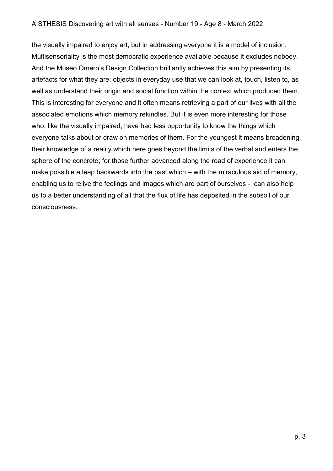the visually impaired to enjoy art, but in addressing everyone it is a model of inclusion. Multisensoriality is the most democratic experience available because it excludes nobody. And the Museo Omero's Design Collection brilliantly achieves this aim by presenting its artefacts for what they are: objects in everyday use that we can look at, touch, listen to, as well as understand their origin and social function within the context which produced them. This is interesting for everyone and it often means retrieving a part of our lives with all the associated emotions which memory rekindles. But it is even more interesting for those who, like the visually impaired, have had less opportunity to know the things which everyone talks about or draw on memories of them. For the youngest it means broadening their knowledge of a reality which here goes beyond the limits of the verbal and enters the sphere of the concrete; for those further advanced along the road of experience it can make possible a leap backwards into the past which – with the miraculous aid of memory, enabling us to relive the feelings and images which are part of ourselves - can also help us to a better understanding of all that the flux of life has deposited in the subsoil of our consciousness.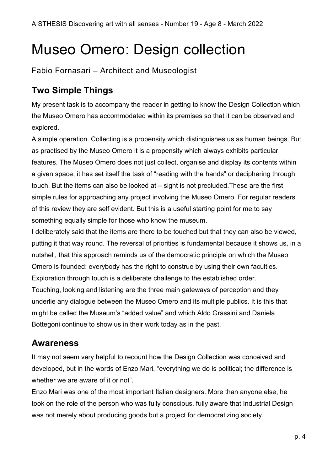### <span id="page-4-0"></span>Museo Omero: Design collection

<span id="page-4-1"></span>Fabio Fornasari – Architect and Museologist

### **Two Simple Things**

My present task is to accompany the reader in getting to know the Design Collection which the Museo Omero has accommodated within its premises so that it can be observed and explored.

A simple operation. Collecting is a propensity which distinguishes us as human beings. But as practised by the Museo Omero it is a propensity which always exhibits particular features. The Museo Omero does not just collect, organise and display its contents within a given space; it has set itself the task of "reading with the hands" or deciphering through touch. But the items can also be looked at – sight is not precluded.These are the first simple rules for approaching any project involving the Museo Omero. For regular readers of this review they are self evident. But this is a useful starting point for me to say something equally simple for those who know the museum.

I deliberately said that the items are there to be touched but that they can also be viewed, putting it that way round. The reversal of priorities is fundamental because it shows us, in a nutshell, that this approach reminds us of the democratic principle on which the Museo Omero is founded: everybody has the right to construe by using their own faculties. Exploration through touch is a deliberate challenge to the established order. Touching, looking and listening are the three main gateways of perception and they underlie any dialogue between the Museo Omero and its multiple publics. It is this that might be called the Museum's "added value" and which Aldo Grassini and Daniela Bottegoni continue to show us in their work today as in the past.

#### **Awareness**

It may not seem very helpful to recount how the Design Collection was conceived and developed, but in the words of Enzo Mari, "everything we do is political; the difference is whether we are aware of it or not".

Enzo Mari was one of the most important Italian designers. More than anyone else, he took on the role of the person who was fully conscious, fully aware that Industrial Design was not merely about producing goods but a project for democratizing society.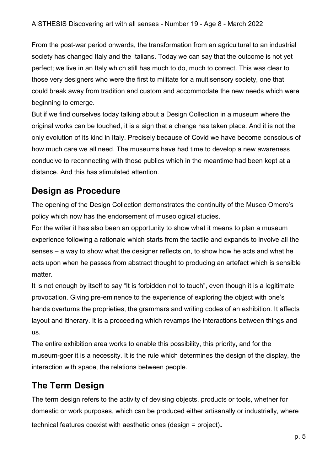From the post-war period onwards, the transformation from an agricultural to an industrial society has changed Italy and the Italians. Today we can say that the outcome is not yet perfect; we live in an Italy which still has much to do, much to correct. This was clear to those very designers who were the first to militate for a multisensory society, one that could break away from tradition and custom and accommodate the new needs which were beginning to emerge.

But if we find ourselves today talking about a Design Collection in a museum where the original works can be touched, it is a sign that a change has taken place. And it is not the only evolution of its kind in Italy. Precisely because of Covid we have become conscious of how much care we all need. The museums have had time to develop a new awareness conducive to reconnecting with those publics which in the meantime had been kept at a distance. And this has stimulated attention.

#### **Design as Procedure**

The opening of the Design Collection demonstrates the continuity of the Museo Omero's policy which now has the endorsement of museological studies.

For the writer it has also been an opportunity to show what it means to plan a museum experience following a rationale which starts from the tactile and expands to involve all the senses – a way to show what the designer reflects on, to show how he acts and what he acts upon when he passes from abstract thought to producing an artefact which is sensible matter.

It is not enough by itself to say "It is forbidden not to touch", even though it is a legitimate provocation. Giving pre-eminence to the experience of exploring the object with one's hands overturns the proprieties, the grammars and writing codes of an exhibition. It affects layout and itinerary. It is a proceeding which revamps the interactions between things and us.

The entire exhibition area works to enable this possibility, this priority, and for the museum-goer it is a necessity. It is the rule which determines the design of the display, the interaction with space, the relations between people.

#### **The Term Design**

The term design refers to the activity of devising objects, products or tools, whether for domestic or work purposes, which can be produced either artisanally or industrially, where technical features coexist with aesthetic ones (design = project)**.**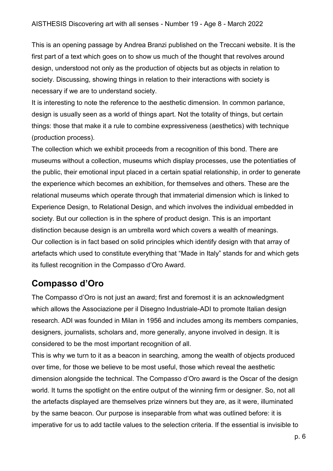This is an opening passage by Andrea Branzi published on the Treccani website. It is the first part of a text which goes on to show us much of the thought that revolves around design, understood not only as the production of objects but as objects in relation to society. Discussing, showing things in relation to their interactions with society is necessary if we are to understand society.

It is interesting to note the reference to the aesthetic dimension. In common parlance, design is usually seen as a world of things apart. Not the totality of things, but certain things: those that make it a rule to combine expressiveness (aesthetics) with technique (production process).

The collection which we exhibit proceeds from a recognition of this bond. There are museums without a collection, museums which display processes, use the potentiaties of the public, their emotional input placed in a certain spatial relationship, in order to generate the experience which becomes an exhibition, for themselves and others. These are the relational museums which operate through that immaterial dimension which is linked to Experience Design, to Relational Design, and which involves the individual embedded in society. But our collection is in the sphere of product design. This is an important distinction because design is an umbrella word which covers a wealth of meanings. Our collection is in fact based on solid principles which identify design with that array of artefacts which used to constitute everything that "Made in Italy" stands for and which gets its fullest recognition in the Compasso d'Oro Award.

#### **Compasso d'Oro**

The Compasso d'Oro is not just an award; first and foremost it is an acknowledgment which allows the Associazione per il Disegno Industriale-ADI to promote Italian design research. ADI was founded in Milan in 1956 and includes among its members companies, designers, journalists, scholars and, more generally, anyone involved in design. It is considered to be the most important recognition of all.

This is why we turn to it as a beacon in searching, among the wealth of objects produced over time, for those we believe to be most useful, those which reveal the aesthetic dimension alongside the technical. The Compasso d'Oro award is the Oscar of the design world. It turns the spotlight on the entire output of the winning firm or designer. So, not all the artefacts displayed are themselves prize winners but they are, as it were, illuminated by the same beacon. Our purpose is inseparable from what was outlined before: it is imperative for us to add tactile values to the selection criteria. If the essential is invisible to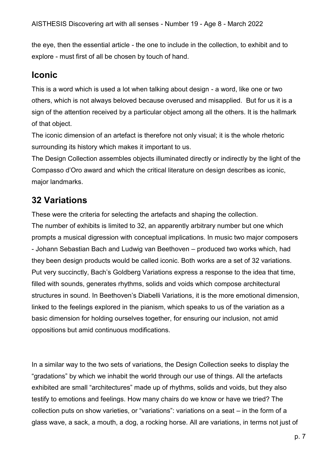the eye, then the essential article - the one to include in the collection, to exhibit and to explore - must first of all be chosen by touch of hand.

#### **Iconic**

This is a word which is used a lot when talking about design - a word, like one or two others, which is not always beloved because overused and misapplied. But for us it is a sign of the attention received by a particular object among all the others. It is the hallmark of that object.

The iconic dimension of an artefact is therefore not only visual; it is the whole rhetoric surrounding its history which makes it important to us.

The Design Collection assembles objects illuminated directly or indirectly by the light of the Compasso d'Oro award and which the critical literature on design describes as iconic, major landmarks.

#### **32 Variations**

These were the criteria for selecting the artefacts and shaping the collection. The number of exhibits is limited to 32, an apparently arbitrary number but one which prompts a musical digression with conceptual implications. In music two major composers - Johann Sebastian Bach and Ludwig van Beethoven – produced two works which, had they been design products would be called iconic. Both works are a set of 32 variations. Put very succinctly, Bach's Goldberg Variations express a response to the idea that time, filled with sounds, generates rhythms, solids and voids which compose architectural structures in sound. In Beethoven's Diabelli Variations, it is the more emotional dimension, linked to the feelings explored in the pianism, which speaks to us of the variation as a basic dimension for holding ourselves together, for ensuring our inclusion, not amid oppositions but amid continuous modifications.

In a similar way to the two sets of variations, the Design Collection seeks to display the "gradations" by which we inhabit the world through our use of things. All the artefacts exhibited are small "architectures" made up of rhythms, solids and voids, but they also testify to emotions and feelings. How many chairs do we know or have we tried? The collection puts on show varieties, or "variations": variations on a seat – in the form of a glass wave, a sack, a mouth, a dog, a rocking horse. All are variations, in terms not just of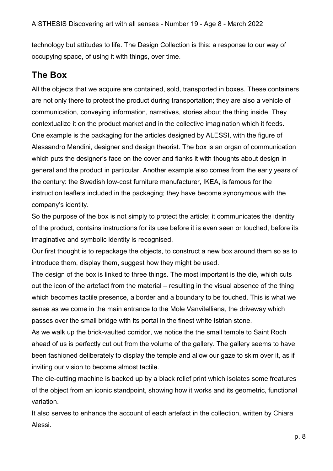technology but attitudes to life. The Design Collection is this: a response to our way of occupying space, of using it with things, over time.

#### **The Box**

All the objects that we acquire are contained, sold, transported in boxes. These containers are not only there to protect the product during transportation; they are also a vehicle of communication, conveying information, narratives, stories about the thing inside. They contextualize it on the product market and in the collective imagination which it feeds. One example is the packaging for the articles designed by ALESSI, with the figure of Alessandro Mendini, designer and design theorist. The box is an organ of communication which puts the designer's face on the cover and flanks it with thoughts about design in general and the product in particular. Another example also comes from the early years of the century: the Swedish low-cost furniture manufacturer, IKEA, is famous for the instruction leaflets included in the packaging; they have become synonymous with the company's identity.

So the purpose of the box is not simply to protect the article; it communicates the identity of the product, contains instructions for its use before it is even seen or touched, before its imaginative and symbolic identity is recognised.

Our first thought is to repackage the objects, to construct a new box around them so as to introduce them, display them, suggest how they might be used.

The design of the box is linked to three things. The most important is the die, which cuts out the icon of the artefact from the material – resulting in the visual absence of the thing which becomes tactile presence, a border and a boundary to be touched. This is what we sense as we come in the main entrance to the Mole Vanvitelliana, the driveway which passes over the small bridge with its portal in the finest white Istrian stone.

As we walk up the brick-vaulted corridor, we notice the the small temple to Saint Roch ahead of us is perfectly cut out from the volume of the gallery. The gallery seems to have been fashioned deliberately to display the temple and allow our gaze to skim over it, as if inviting our vision to become almost tactile.

The die-cutting machine is backed up by a black relief print which isolates some freatures of the object from an iconic standpoint, showing how it works and its geometric, functional variation.

It also serves to enhance the account of each artefact in the collection, written by Chiara Alessi.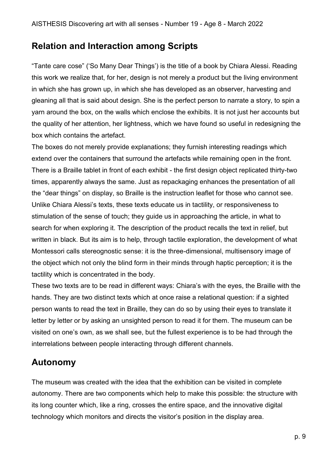#### **Relation and Interaction among Scripts**

"Tante care cose" ('So Many Dear Things') is the title of a book by Chiara Alessi. Reading this work we realize that, for her, design is not merely a product but the living environment in which she has grown up, in which she has developed as an observer, harvesting and gleaning all that is said about design. She is the perfect person to narrate a story, to spin a yarn around the box, on the walls which enclose the exhibits. It is not just her accounts but the quality of her attention, her lightness, which we have found so useful in redesigning the box which contains the artefact.

The boxes do not merely provide explanations; they furnish interesting readings which extend over the containers that surround the artefacts while remaining open in the front. There is a Braille tablet in front of each exhibit - the first design object replicated thirty-two times, apparently always the same. Just as repackaging enhances the presentation of all the "dear things" on display, so Braille is the instruction leaflet for those who cannot see. Unlike Chiara Alessi's texts, these texts educate us in tactility, or responsiveness to stimulation of the sense of touch; they guide us in approaching the article, in what to search for when exploring it. The description of the product recalls the text in relief, but written in black. But its aim is to help, through tactile exploration, the development of what Montessori calls stereognostic sense: it is the three-dimensional, multisensory image of the object which not only the blind form in their minds through haptic perception; it is the tactility which is concentrated in the body.

These two texts are to be read in different ways: Chiara's with the eyes, the Braille with the hands. They are two distinct texts which at once raise a relational question: if a sighted person wants to read the text in Braille, they can do so by using their eyes to translate it letter by letter or by asking an unsighted person to read it for them. The museum can be visited on one's own, as we shall see, but the fullest experience is to be had through the interrelations between people interacting through different channels.

#### **Autonomy**

The museum was created with the idea that the exhibition can be visited in complete autonomy. There are two components which help to make this possible: the structure with its long counter which, like a ring, crosses the entire space, and the innovative digital technology which monitors and directs the visitor's position in the display area.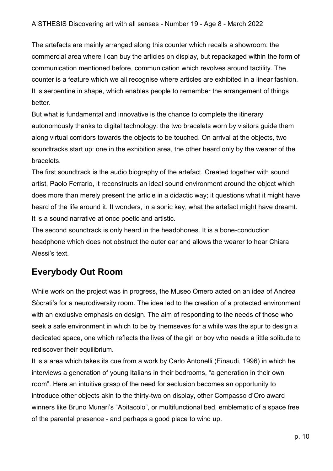The artefacts are mainly arranged along this counter which recalls a showroom: the commercial area where I can buy the articles on display, but repackaged within the form of communication mentioned before, communication which revolves around tactility. The counter is a feature which we all recognise where articles are exhibited in a linear fashion. It is serpentine in shape, which enables people to remember the arrangement of things better.

But what is fundamental and innovative is the chance to complete the itinerary autonomously thanks to digital technology: the two bracelets worn by visitors guide them along virtual corridors towards the objects to be touched. On arrival at the objects, two soundtracks start up: one in the exhibition area, the other heard only by the wearer of the bracelets.

The first soundtrack is the audio biography of the artefact. Created together with sound artist, Paolo Ferrario, it reconstructs an ideal sound environment around the object which does more than merely present the article in a didactic way; it questions what it might have heard of the life around it. It wonders, in a sonic key, what the artefact might have dreamt. It is a sound narrative at once poetic and artistic.

The second soundtrack is only heard in the headphones. It is a bone-conduction headphone which does not obstruct the outer ear and allows the wearer to hear Chiara Alessi's text.

#### **Everybody Out Room**

While work on the project was in progress, the Museo Omero acted on an idea of Andrea Sòcrati's for a neurodiversity room. The idea led to the creation of a protected environment with an exclusive emphasis on design. The aim of responding to the needs of those who seek a safe environment in which to be by themseves for a while was the spur to design a dedicated space, one which reflects the lives of the girl or boy who needs a little solitude to rediscover their equilibrium.

It is a area which takes its cue from a work by Carlo Antonelli (Einaudi, 1996) in which he interviews a generation of young Italians in their bedrooms, "a generation in their own room". Here an intuitive grasp of the need for seclusion becomes an opportunity to introduce other objects akin to the thirty-two on display, other Compasso d'Oro award winners like Bruno Munari's "Abitacolo", or multifunctional bed, emblematic of a space free of the parental presence - and perhaps a good place to wind up.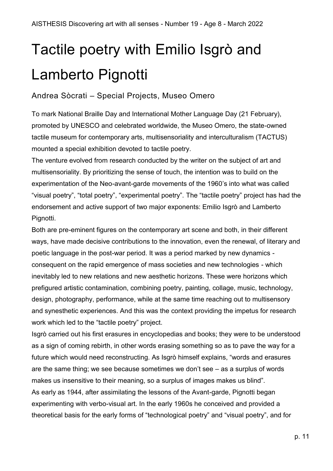# <span id="page-11-0"></span>Tactile poetry with Emilio Isgrò and Lamberto Pignotti

#### <span id="page-11-1"></span>Andrea Sòcrati – Special Projects, Museo Omero

To mark National Braille Day and International Mother Language Day (21 February), promoted by UNESCO and celebrated worldwide, the Museo Omero, the state-owned tactile museum for contemporary arts, multisensoriality and interculturalism (TACTUS) mounted a special exhibition devoted to tactile poetry.

The venture evolved from research conducted by the writer on the subject of art and multisensoriality. By prioritizing the sense of touch, the intention was to build on the experimentation of the Neo-avant-garde movements of the 1960's into what was called "visual poetry", "total poetry", "experimental poetry". The "tactile poetry" project has had the endorsement and active support of two major exponents: Emilio Isgrò and Lamberto Pignotti.

Both are pre-eminent figures on the contemporary art scene and both, in their different ways, have made decisive contributions to the innovation, even the renewal, of literary and poetic language in the post-war period. It was a period marked by new dynamics consequent on the rapid emergence of mass societies and new technologies - which inevitably led to new relations and new aesthetic horizons. These were horizons which prefigured artistic contamination, combining poetry, painting, collage, music, technology, design, photography, performance, while at the same time reaching out to multisensory and synesthetic experiences. And this was the context providing the impetus for research work which led to the "tactile poetry" project.

Isgrò carried out his first erasures in encyclopedias and books; they were to be understood as a sign of coming rebirth, in other words erasing something so as to pave the way for a future which would need reconstructing. As Isgrò himself explains, "words and erasures are the same thing; we see because sometimes we don't see – as a surplus of words makes us insensitive to their meaning, so a surplus of images makes us blind". As early as 1944, after assimilating the lessons of the Avant-garde, Pignotti began experimenting with verbo-visual art. In the early 1960s he conceived and provided a theoretical basis for the early forms of "technological poetry" and "visual poetry", and for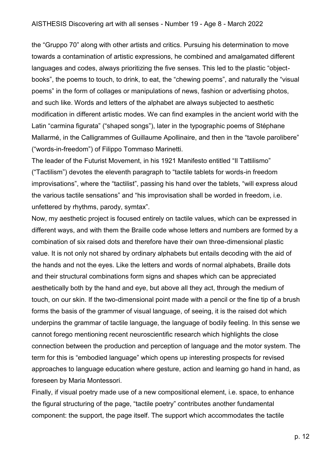the "Gruppo 70" along with other artists and critics. Pursuing his determination to move towards a contamination of artistic expressions, he combined and amalgamated different languages and codes, always prioritizing the five senses. This led to the plastic "objectbooks", the poems to touch, to drink, to eat, the "chewing poems", and naturally the "visual poems" in the form of collages or manipulations of news, fashion or advertising photos, and such like. Words and letters of the alphabet are always subjected to aesthetic modification in different artistic modes. We can find examples in the ancient world with the Latin "carmina figurata" ("shaped songs"), later in the typographic poems of Stéphane Mallarmé, in the Calligrammes of Guillaume Apollinaire, and then in the "tavole parolibere" ("words-in-freedom") of Filippo Tommaso Marinetti.

The leader of the Futurist Movement, in his 1921 Manifesto entitled "Il Tattilismo" ("Tactilism") devotes the eleventh paragraph to "tactile tablets for words-in freedom improvisations", where the "tactilist", passing his hand over the tablets, "will express aloud the various tactile sensations" and "his improvisation shall be worded in freedom, i.e. unfettered by rhythms, parody, symtax".

Now, my aesthetic project is focused entirely on tactile values, which can be expressed in different ways, and with them the Braille code whose letters and numbers are formed by a combination of six raised dots and therefore have their own three-dimensional plastic value. It is not only not shared by ordinary alphabets but entails decoding with the aid of the hands and not the eyes. Like the letters and words of normal alphabets, Braille dots and their structural combinations form signs and shapes which can be appreciated aesthetically both by the hand and eye, but above all they act, through the medium of touch, on our skin. If the two-dimensional point made with a pencil or the fine tip of a brush forms the basis of the grammer of visual language, of seeing, it is the raised dot which underpins the grammar of tactile language, the language of bodily feeling. In this sense we cannot forego mentioning recent neuroscientific research which highlights the close connection between the production and perception of language and the motor system. The term for this is "embodied language" which opens up interesting prospects for revised approaches to language education where gesture, action and learning go hand in hand, as foreseen by Maria Montessori.

Finally, if visual poetry made use of a new compositional element, i.e. space, to enhance the figural structuring of the page, "tactile poetry" contributes another fundamental component: the support, the page itself. The support which accommodates the tactile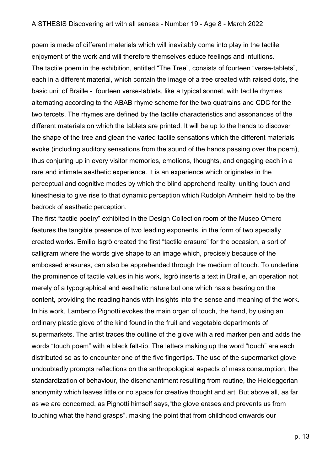poem is made of different materials which will inevitably come into play in the tactile enjoyment of the work and will therefore themselves educe feelings and intuitions. The tactile poem in the exhibition, entitled "The Tree", consists of fourteen "verse-tablets", each in a different material, which contain the image of a tree created with raised dots, the basic unit of Braille - fourteen verse-tablets, like a typical sonnet, with tactile rhymes alternating according to the ABAB rhyme scheme for the two quatrains and CDC for the two tercets. The rhymes are defined by the tactile characteristics and assonances of the different materials on which the tablets are printed. It will be up to the hands to discover the shape of the tree and glean the varied tactile sensations which the different materials evoke (including auditory sensations from the sound of the hands passing over the poem), thus conjuring up in every visitor memories, emotions, thoughts, and engaging each in a rare and intimate aesthetic experience. It is an experience which originates in the perceptual and cognitive modes by which the blind apprehend reality, uniting touch and kinesthesia to give rise to that dynamic perception which Rudolph Arnheim held to be the bedrock of aesthetic perception.

The first "tactile poetry" exhibited in the Design Collection room of the Museo Omero features the tangible presence of two leading exponents, in the form of two specially created works. Emilio Isgrò created the first "tactile erasure" for the occasion, a sort of calligram where the words give shape to an image which, precisely because of the embossed erasures, can also be apprehended through the medium of touch. To underline the prominence of tactile values in his work, Isgrò inserts a text in Braille, an operation not merely of a typographical and aesthetic nature but one which has a bearing on the content, providing the reading hands with insights into the sense and meaning of the work. In his work, Lamberto Pignotti evokes the main organ of touch, the hand, by using an ordinary plastic glove of the kind found in the fruit and vegetable departments of supermarkets. The artist traces the outline of the glove with a red marker pen and adds the words "touch poem" with a black felt-tip. The letters making up the word "touch" are each distributed so as to encounter one of the five fingertips. The use of the supermarket glove undoubtedly prompts reflections on the anthropological aspects of mass consumption, the standardization of behaviour, the disenchantment resulting from routine, the Heideggerian anonymity which leaves little or no space for creative thought and art. But above all, as far as we are concerned, as Pignotti himself says,"the glove erases and prevents us from touching what the hand grasps", making the point that from childhood onwards our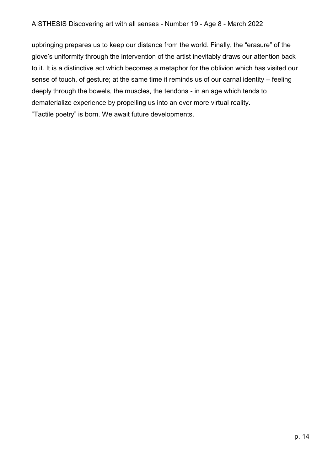upbringing prepares us to keep our distance from the world. Finally, the "erasure" of the glove's uniformity through the intervention of the artist inevitably draws our attention back to it. It is a distinctive act which becomes a metaphor for the oblivion which has visited our sense of touch, of gesture; at the same time it reminds us of our carnal identity – feeling deeply through the bowels, the muscles, the tendons - in an age which tends to dematerialize experience by propelling us into an ever more virtual reality. "Tactile poetry" is born. We await future developments.